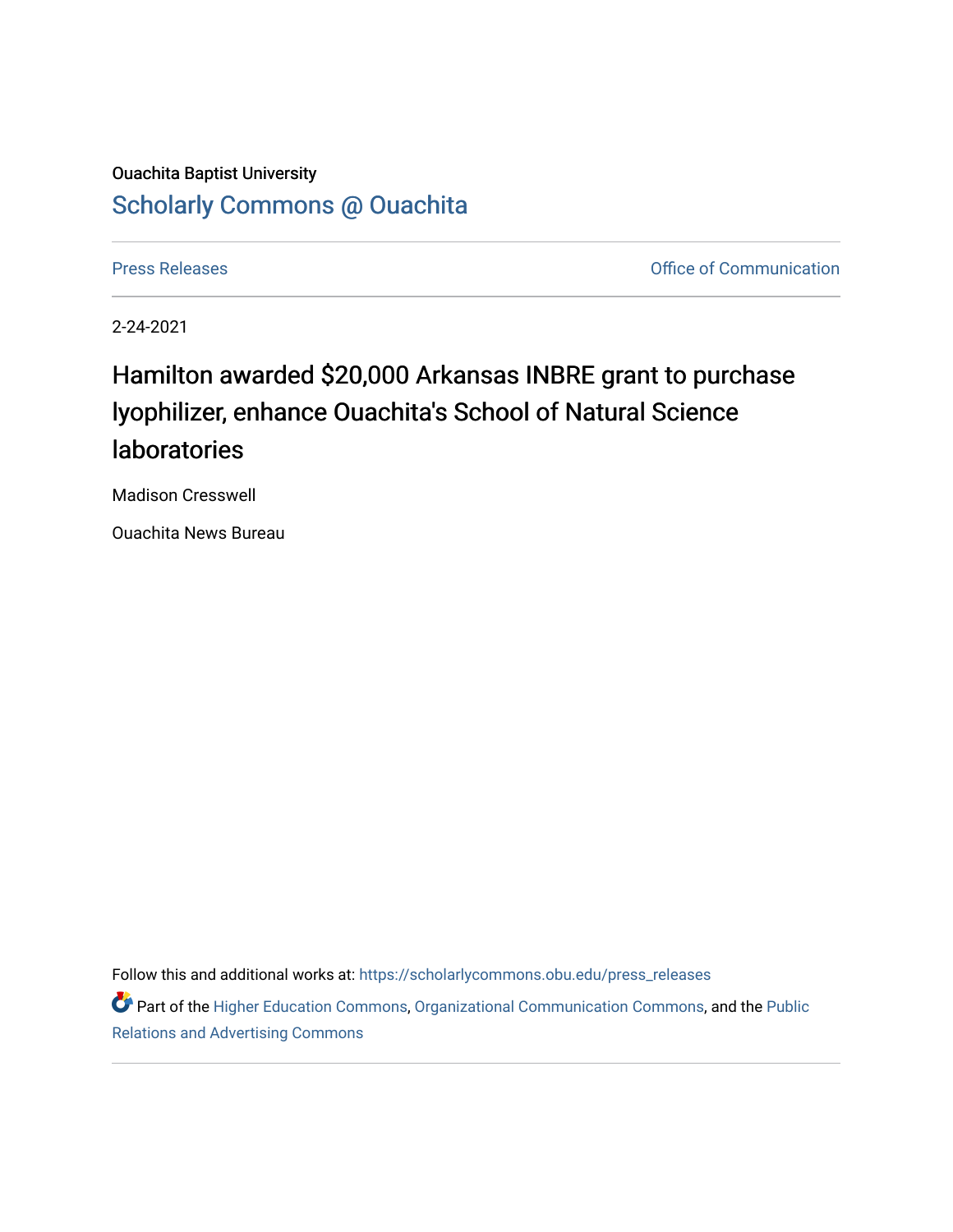## Ouachita Baptist University [Scholarly Commons @ Ouachita](https://scholarlycommons.obu.edu/)

[Press Releases](https://scholarlycommons.obu.edu/press_releases) **Press Releases Communication Press Releases Office of Communication** 

2-24-2021

## Hamilton awarded \$20,000 Arkansas INBRE grant to purchase lyophilizer, enhance Ouachita's School of Natural Science laboratories

Madison Cresswell

Ouachita News Bureau

Follow this and additional works at: [https://scholarlycommons.obu.edu/press\\_releases](https://scholarlycommons.obu.edu/press_releases?utm_source=scholarlycommons.obu.edu%2Fpress_releases%2F757&utm_medium=PDF&utm_campaign=PDFCoverPages)

Part of the [Higher Education Commons,](http://network.bepress.com/hgg/discipline/1245?utm_source=scholarlycommons.obu.edu%2Fpress_releases%2F757&utm_medium=PDF&utm_campaign=PDFCoverPages) [Organizational Communication Commons,](http://network.bepress.com/hgg/discipline/335?utm_source=scholarlycommons.obu.edu%2Fpress_releases%2F757&utm_medium=PDF&utm_campaign=PDFCoverPages) and the [Public](http://network.bepress.com/hgg/discipline/336?utm_source=scholarlycommons.obu.edu%2Fpress_releases%2F757&utm_medium=PDF&utm_campaign=PDFCoverPages) [Relations and Advertising Commons](http://network.bepress.com/hgg/discipline/336?utm_source=scholarlycommons.obu.edu%2Fpress_releases%2F757&utm_medium=PDF&utm_campaign=PDFCoverPages)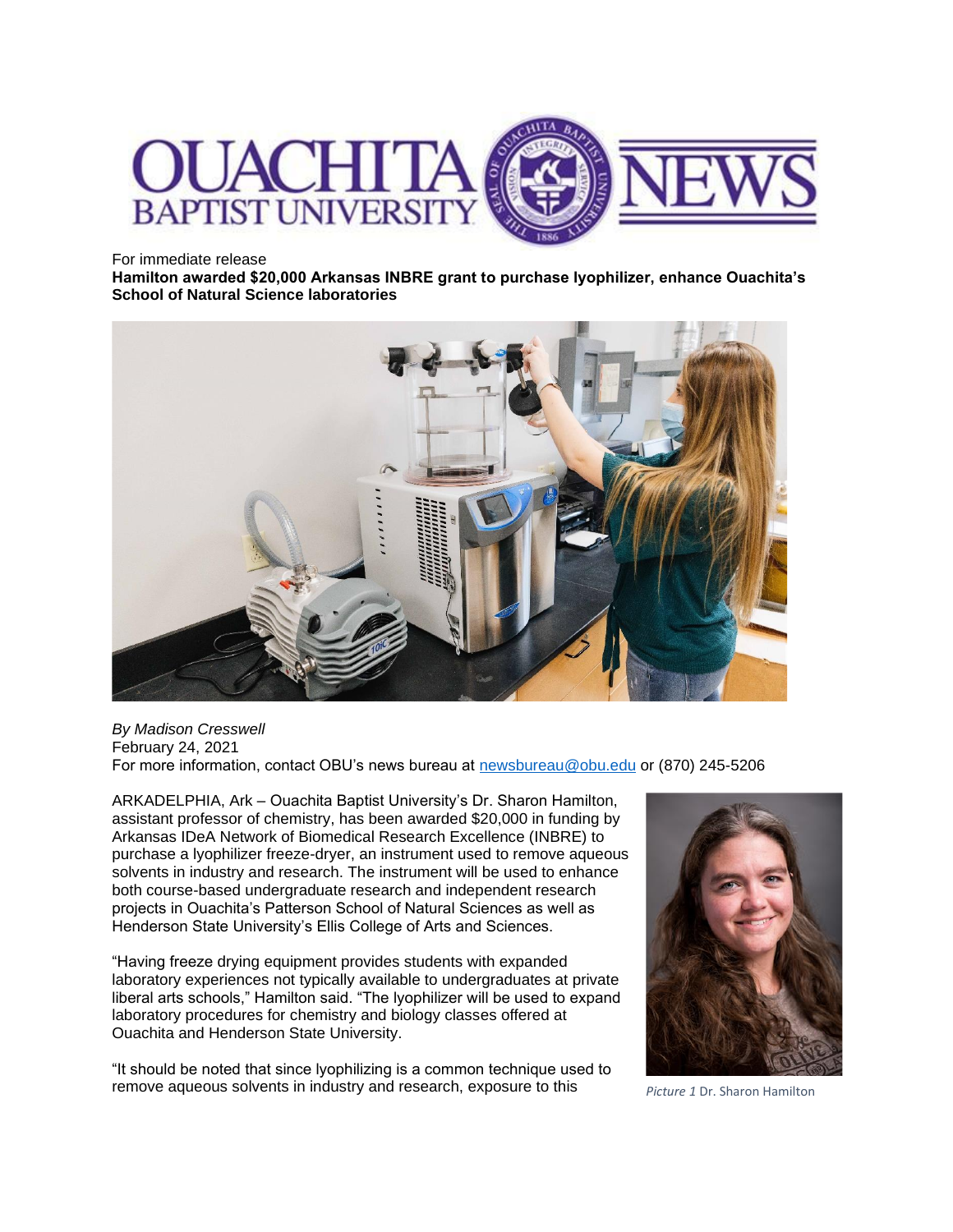

For immediate release

**Hamilton awarded \$20,000 Arkansas INBRE grant to purchase lyophilizer, enhance Ouachita's School of Natural Science laboratories**



*By Madison Cresswell* February 24, 2021 For more information, contact OBU's news bureau at [newsbureau@obu.edu](mailto:newsbureau@obu.edu) or (870) 245-5206

ARKADELPHIA, Ark – Ouachita Baptist University's Dr. Sharon Hamilton, assistant professor of chemistry, has been awarded \$20,000 in funding by Arkansas IDeA Network of Biomedical Research Excellence (INBRE) to purchase a lyophilizer freeze-dryer, an instrument used to remove aqueous solvents in industry and research. The instrument will be used to enhance both course-based undergraduate research and independent research projects in Ouachita's Patterson School of Natural Sciences as well as Henderson State University's Ellis College of Arts and Sciences.

"Having freeze drying equipment provides students with expanded laboratory experiences not typically available to undergraduates at private liberal arts schools," Hamilton said. "The lyophilizer will be used to expand laboratory procedures for chemistry and biology classes offered at Ouachita and Henderson State University.

"It should be noted that since lyophilizing is a common technique used to remove aqueous solvents in industry and research, exposure to this *Picture 1* Dr. Sharon Hamilton